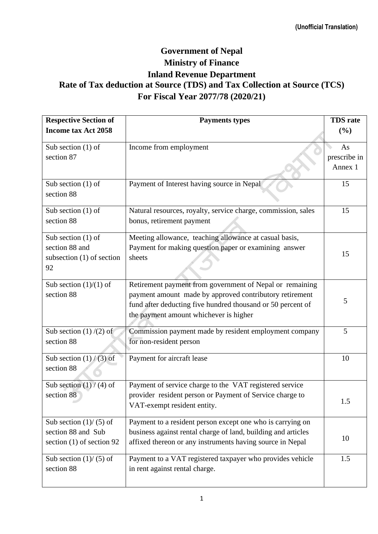## **Government of Nepal Ministry of Finance Inland Revenue Department Rate of Tax deduction at Source (TDS) and Tax Collection at Source (TCS) For Fiscal Year 2077/78 (2020/21)**

| <b>Respective Section of</b>       | <b>Payments types</b>                                         | <b>TDS</b> rate |
|------------------------------------|---------------------------------------------------------------|-----------------|
| <b>Income tax Act 2058</b>         |                                                               | (%)             |
|                                    |                                                               |                 |
| Sub section $(1)$ of<br>section 87 | Income from employment                                        | As              |
|                                    |                                                               | prescribe in    |
|                                    |                                                               | Annex 1         |
| Sub section $(1)$ of               | Payment of Interest having source in Nepal                    | 15              |
| section 88                         |                                                               |                 |
| Sub section $(1)$ of               | Natural resources, royalty, service charge, commission, sales | 15              |
| section 88                         | bonus, retirement payment                                     |                 |
| Sub section $(1)$ of               | Meeting allowance, teaching allowance at casual basis,        |                 |
| section 88 and                     | Payment for making question paper or examining answer         |                 |
| subsection $(1)$ of section        | sheets                                                        | 15              |
| 92                                 |                                                               |                 |
| Sub section $(1)/(1)$ of           | Retirement payment from government of Nepal or remaining      |                 |
| section 88                         | payment amount made by approved contributory retirement       |                 |
|                                    | fund after deducting five hundred thousand or 50 percent of   | 5               |
|                                    | the payment amount whichever is higher                        |                 |
| Sub section $(1)/(2)$ of           | Commission payment made by resident employment company        | 5               |
| section 88                         | for non-resident person                                       |                 |
| Sub section $(1)$ / (3) of         | Payment for aircraft lease                                    | 10              |
| section 88                         |                                                               |                 |
| Sub section $(1) / (4)$ of         | Payment of service charge to the VAT registered service       |                 |
| section 88                         | provider resident person or Payment of Service charge to      |                 |
|                                    | VAT-exempt resident entity.                                   | 1.5             |
| Sub section $(1) / (5)$ of         | Payment to a resident person except one who is carrying on    |                 |
| section 88 and Sub                 | business against rental charge of land, building and articles |                 |
| section (1) of section 92          | affixed thereon or any instruments having source in Nepal     | 10              |
| Sub section $(1) / (5)$ of         | Payment to a VAT registered taxpayer who provides vehicle     | 1.5             |
| section 88                         | in rent against rental charge.                                |                 |
|                                    |                                                               |                 |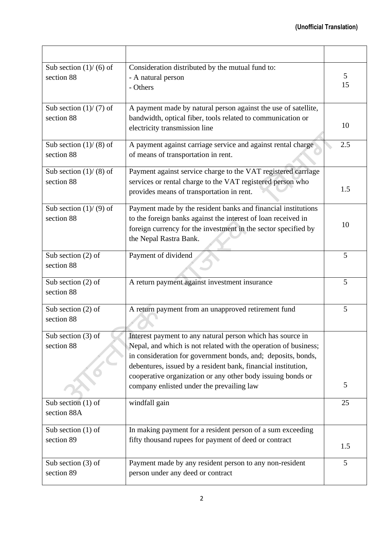| Sub section $(1)/(6)$ of<br>section 88   | Consideration distributed by the mutual fund to:<br>- A natural person<br>- Others                                                                                                                                                                                                                                                                                         | 5<br>15 |
|------------------------------------------|----------------------------------------------------------------------------------------------------------------------------------------------------------------------------------------------------------------------------------------------------------------------------------------------------------------------------------------------------------------------------|---------|
| Sub section $(1) / (7)$ of<br>section 88 | A payment made by natural person against the use of satellite,<br>bandwidth, optical fiber, tools related to communication or<br>electricity transmission line                                                                                                                                                                                                             | 10      |
| Sub section $(1) / (8)$ of<br>section 88 | A payment against carriage service and against rental charge<br>of means of transportation in rent.                                                                                                                                                                                                                                                                        | 2.5     |
| Sub section $(1) / (8)$ of<br>section 88 | Payment against service charge to the VAT registered carriage<br>services or rental charge to the VAT registered person who<br>provides means of transportation in rent.                                                                                                                                                                                                   | 1.5     |
| Sub section $(1)/(9)$ of<br>section 88   | Payment made by the resident banks and financial institutions<br>to the foreign banks against the interest of loan received in<br>foreign currency for the investment in the sector specified by<br>the Nepal Rastra Bank.                                                                                                                                                 | 10      |
| Sub section $(2)$ of<br>section 88       | Payment of dividend                                                                                                                                                                                                                                                                                                                                                        | 5       |
| Sub section $(2)$ of<br>section 88       | A return payment against investment insurance                                                                                                                                                                                                                                                                                                                              | 5       |
| Sub section $(2)$ of<br>section 88       | A return payment from an unapproved retirement fund                                                                                                                                                                                                                                                                                                                        | 5       |
| Sub section $(3)$ of<br>section 88       | Interest payment to any natural person which has source in<br>Nepal, and which is not related with the operation of business;<br>in consideration for government bonds, and; deposits, bonds,<br>debentures, issued by a resident bank, financial institution,<br>cooperative organization or any other body issuing bonds or<br>company enlisted under the prevailing law | 5       |
| Sub section $(1)$ of<br>section 88A      | windfall gain                                                                                                                                                                                                                                                                                                                                                              | 25      |
| Sub section $(1)$ of<br>section 89       | In making payment for a resident person of a sum exceeding<br>fifty thousand rupees for payment of deed or contract                                                                                                                                                                                                                                                        | 1.5     |
| Sub section $(3)$ of<br>section 89       | Payment made by any resident person to any non-resident<br>person under any deed or contract                                                                                                                                                                                                                                                                               | 5       |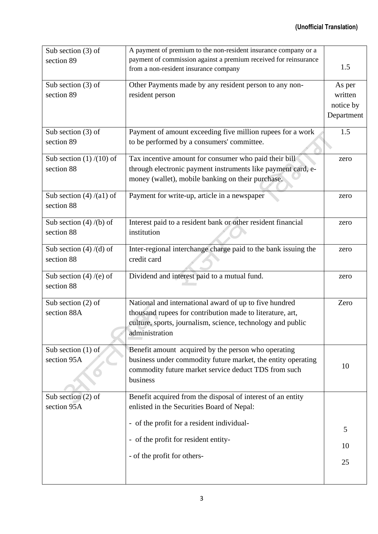| Sub section $(3)$ of       | A payment of premium to the non-resident insurance company or a  |            |
|----------------------------|------------------------------------------------------------------|------------|
| section 89                 | payment of commission against a premium received for reinsurance |            |
|                            | from a non-resident insurance company                            | 1.5        |
| Sub section $(3)$ of       | Other Payments made by any resident person to any non-           |            |
|                            |                                                                  | As per     |
| section 89                 | resident person                                                  | written    |
|                            |                                                                  | notice by  |
|                            |                                                                  | Department |
| Sub section $(3)$ of       | Payment of amount exceeding five million rupees for a work       | 1.5        |
| section 89                 | to be performed by a consumers' committee.                       |            |
|                            |                                                                  |            |
| Sub section $(1)/(10)$ of  | Tax incentive amount for consumer who paid their bill            | zero       |
| section 88                 | through electronic payment instruments like payment card, e-     |            |
|                            | money (wallet), mobile banking on their purchase.                |            |
| Sub section $(4)$ /(a1) of | Payment for write-up, article in a newspaper                     |            |
| section 88                 |                                                                  | zero       |
|                            |                                                                  |            |
| Sub section $(4)$ /(b) of  | Interest paid to a resident bank or other resident financial     | zero       |
| section 88                 | institution                                                      |            |
|                            |                                                                  |            |
| Sub section $(4)$ /(d) of  | Inter-regional interchange charge paid to the bank issuing the   | zero       |
| section 88                 | credit card                                                      |            |
| Sub section $(4)$ /(e) of  | Dividend and interest paid to a mutual fund.                     | zero       |
| section 88                 |                                                                  |            |
|                            |                                                                  |            |
| Sub section $(2)$ of       | National and international award of up to five hundred           | Zero       |
| section 88A                | thousand rupees for contribution made to literature, art,        |            |
|                            | culture, sports, journalism, science, technology and public      |            |
|                            | administration                                                   |            |
|                            |                                                                  |            |
| Sub section $(1)$ of       | Benefit amount acquired by the person who operating              |            |
| section 95A                | business under commodity future market, the entity operating     | 10         |
|                            | commodity future market service deduct TDS from such             |            |
|                            | business                                                         |            |
| Sub section $(2)$ of       | Benefit acquired from the disposal of interest of an entity      |            |
| section 95A                | enlisted in the Securities Board of Nepal:                       |            |
|                            |                                                                  |            |
|                            | - of the profit for a resident individual-                       | 5          |
|                            |                                                                  |            |
|                            | - of the profit for resident entity-                             | 10         |
|                            | - of the profit for others-                                      |            |
|                            |                                                                  | 25         |
|                            |                                                                  |            |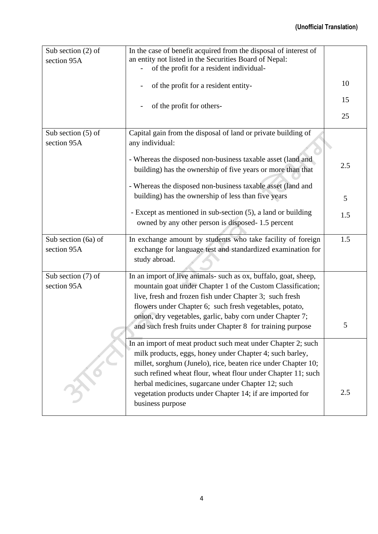## **(Unofficial Translation)**

| Sub section $(2)$ of                | In the case of benefit acquired from the disposal of interest of                                                                                                                                                                                                                                                  |     |
|-------------------------------------|-------------------------------------------------------------------------------------------------------------------------------------------------------------------------------------------------------------------------------------------------------------------------------------------------------------------|-----|
| section 95A                         | an entity not listed in the Securities Board of Nepal:                                                                                                                                                                                                                                                            |     |
|                                     | of the profit for a resident individual-                                                                                                                                                                                                                                                                          |     |
|                                     | of the profit for a resident entity-                                                                                                                                                                                                                                                                              | 10  |
|                                     | of the profit for others-                                                                                                                                                                                                                                                                                         | 15  |
|                                     |                                                                                                                                                                                                                                                                                                                   | 25  |
| Sub section $(5)$ of<br>section 95A | Capital gain from the disposal of land or private building of<br>any individual:                                                                                                                                                                                                                                  |     |
|                                     | - Whereas the disposed non-business taxable asset (land and<br>building) has the ownership of five years or more than that                                                                                                                                                                                        | 2.5 |
|                                     | - Whereas the disposed non-business taxable asset (land and                                                                                                                                                                                                                                                       |     |
|                                     | building) has the ownership of less than five years                                                                                                                                                                                                                                                               | 5   |
|                                     | - Except as mentioned in sub-section (5), a land or building<br>owned by any other person is disposed-1.5 percent                                                                                                                                                                                                 | 1.5 |
| Sub section (6a) of<br>section 95A  | In exchange amount by students who take facility of foreign<br>exchange for language test and standardized examination for<br>study abroad.                                                                                                                                                                       | 1.5 |
| Sub section (7) of<br>section 95A   | In an import of live animals- such as ox, buffalo, goat, sheep,<br>mountain goat under Chapter 1 of the Custom Classification;<br>live, fresh and frozen fish under Chapter 3; such fresh<br>flowers under Chapter 6; such fresh vegetables, potato,<br>onion, dry vegetables, garlic, baby corn under Chapter 7; |     |
|                                     | and such fresh fruits under Chapter 8 for training purpose                                                                                                                                                                                                                                                        | 5   |
|                                     | In an import of meat product such meat under Chapter 2; such<br>milk products, eggs, honey under Chapter 4; such barley,<br>millet, sorghum (Junelo), rice, beaten rice under Chapter 10;<br>such refined wheat flour, wheat flour under Chapter 11; such<br>herbal medicines, sugarcane under Chapter 12; such   |     |
|                                     | vegetation products under Chapter 14; if are imported for<br>business purpose                                                                                                                                                                                                                                     | 2.5 |